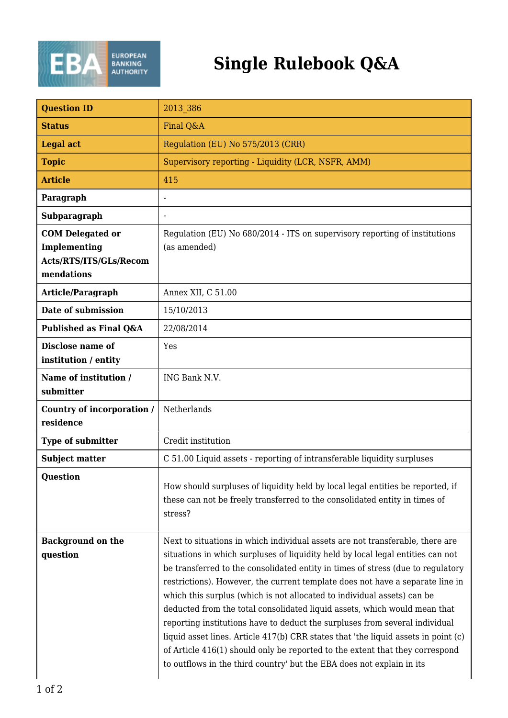

## **Single Rulebook Q&A**

| <b>Question ID</b>                                                              | 2013 386                                                                                                                                                                                                                                                                                                                                                                                                                                                                                                                                                                                                                                                                                                                                                                                                                   |
|---------------------------------------------------------------------------------|----------------------------------------------------------------------------------------------------------------------------------------------------------------------------------------------------------------------------------------------------------------------------------------------------------------------------------------------------------------------------------------------------------------------------------------------------------------------------------------------------------------------------------------------------------------------------------------------------------------------------------------------------------------------------------------------------------------------------------------------------------------------------------------------------------------------------|
| <b>Status</b>                                                                   | Final Q&A                                                                                                                                                                                                                                                                                                                                                                                                                                                                                                                                                                                                                                                                                                                                                                                                                  |
| <b>Legal act</b>                                                                | Regulation (EU) No 575/2013 (CRR)                                                                                                                                                                                                                                                                                                                                                                                                                                                                                                                                                                                                                                                                                                                                                                                          |
| <b>Topic</b>                                                                    | Supervisory reporting - Liquidity (LCR, NSFR, AMM)                                                                                                                                                                                                                                                                                                                                                                                                                                                                                                                                                                                                                                                                                                                                                                         |
| <b>Article</b>                                                                  | 415                                                                                                                                                                                                                                                                                                                                                                                                                                                                                                                                                                                                                                                                                                                                                                                                                        |
| Paragraph                                                                       |                                                                                                                                                                                                                                                                                                                                                                                                                                                                                                                                                                                                                                                                                                                                                                                                                            |
| Subparagraph                                                                    | $\overline{a}$                                                                                                                                                                                                                                                                                                                                                                                                                                                                                                                                                                                                                                                                                                                                                                                                             |
| <b>COM Delegated or</b><br>Implementing<br>Acts/RTS/ITS/GLs/Recom<br>mendations | Regulation (EU) No 680/2014 - ITS on supervisory reporting of institutions<br>(as amended)                                                                                                                                                                                                                                                                                                                                                                                                                                                                                                                                                                                                                                                                                                                                 |
| Article/Paragraph                                                               | Annex XII, C 51.00                                                                                                                                                                                                                                                                                                                                                                                                                                                                                                                                                                                                                                                                                                                                                                                                         |
| Date of submission                                                              | 15/10/2013                                                                                                                                                                                                                                                                                                                                                                                                                                                                                                                                                                                                                                                                                                                                                                                                                 |
| Published as Final Q&A                                                          | 22/08/2014                                                                                                                                                                                                                                                                                                                                                                                                                                                                                                                                                                                                                                                                                                                                                                                                                 |
| Disclose name of<br>institution / entity                                        | Yes                                                                                                                                                                                                                                                                                                                                                                                                                                                                                                                                                                                                                                                                                                                                                                                                                        |
| Name of institution /<br>submitter                                              | ING Bank N.V.                                                                                                                                                                                                                                                                                                                                                                                                                                                                                                                                                                                                                                                                                                                                                                                                              |
| <b>Country of incorporation /</b><br>residence                                  | Netherlands                                                                                                                                                                                                                                                                                                                                                                                                                                                                                                                                                                                                                                                                                                                                                                                                                |
| Type of submitter                                                               | Credit institution                                                                                                                                                                                                                                                                                                                                                                                                                                                                                                                                                                                                                                                                                                                                                                                                         |
| <b>Subject matter</b>                                                           | C 51.00 Liquid assets - reporting of intransferable liquidity surpluses                                                                                                                                                                                                                                                                                                                                                                                                                                                                                                                                                                                                                                                                                                                                                    |
| <b>Question</b>                                                                 | How should surpluses of liquidity held by local legal entities be reported, if<br>these can not be freely transferred to the consolidated entity in times of<br>stress?                                                                                                                                                                                                                                                                                                                                                                                                                                                                                                                                                                                                                                                    |
| <b>Background on the</b><br>question                                            | Next to situations in which individual assets are not transferable, there are<br>situations in which surpluses of liquidity held by local legal entities can not<br>be transferred to the consolidated entity in times of stress (due to regulatory<br>restrictions). However, the current template does not have a separate line in<br>which this surplus (which is not allocated to individual assets) can be<br>deducted from the total consolidated liquid assets, which would mean that<br>reporting institutions have to deduct the surpluses from several individual<br>liquid asset lines. Article 417(b) CRR states that 'the liquid assets in point (c)<br>of Article 416(1) should only be reported to the extent that they correspond<br>to outflows in the third country' but the EBA does not explain in its |